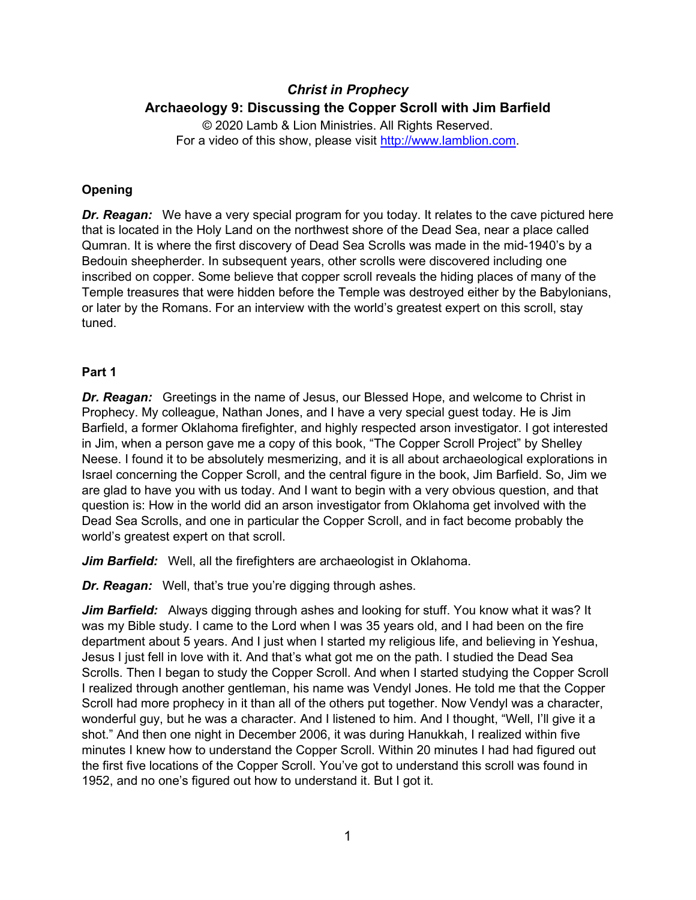# *Christ in Prophecy* **Archaeology 9: Discussing the Copper Scroll with Jim Barfield**

© 2020 Lamb & Lion Ministries. All Rights Reserved. For a video of this show, please visit [http://www.lamblion.com.](http://www.lamblion.com/)

# **Opening**

*Dr. Reagan:* We have a very special program for you today. It relates to the cave pictured here that is located in the Holy Land on the northwest shore of the Dead Sea, near a place called Qumran. It is where the first discovery of Dead Sea Scrolls was made in the mid-1940's by a Bedouin sheepherder. In subsequent years, other scrolls were discovered including one inscribed on copper. Some believe that copper scroll reveals the hiding places of many of the Temple treasures that were hidden before the Temple was destroyed either by the Babylonians, or later by the Romans. For an interview with the world's greatest expert on this scroll, stay tuned.

# **Part 1**

*Dr. Reagan:* Greetings in the name of Jesus, our Blessed Hope, and welcome to Christ in Prophecy. My colleague, Nathan Jones, and I have a very special guest today. He is Jim Barfield, a former Oklahoma firefighter, and highly respected arson investigator. I got interested in Jim, when a person gave me a copy of this book, "The Copper Scroll Project" by Shelley Neese. I found it to be absolutely mesmerizing, and it is all about archaeological explorations in Israel concerning the Copper Scroll, and the central figure in the book, Jim Barfield. So, Jim we are glad to have you with us today. And I want to begin with a very obvious question, and that question is: How in the world did an arson investigator from Oklahoma get involved with the Dead Sea Scrolls, and one in particular the Copper Scroll, and in fact become probably the world's greatest expert on that scroll.

*Jim Barfield:* Well, all the firefighters are archaeologist in Oklahoma.

*Dr. Reagan:* Well, that's true you're digging through ashes.

**Jim Barfield:** Always digging through ashes and looking for stuff. You know what it was? It was my Bible study. I came to the Lord when I was 35 years old, and I had been on the fire department about 5 years. And I just when I started my religious life, and believing in Yeshua, Jesus I just fell in love with it. And that's what got me on the path. I studied the Dead Sea Scrolls. Then I began to study the Copper Scroll. And when I started studying the Copper Scroll I realized through another gentleman, his name was Vendyl Jones. He told me that the Copper Scroll had more prophecy in it than all of the others put together. Now Vendyl was a character, wonderful guy, but he was a character. And I listened to him. And I thought, "Well, I'll give it a shot." And then one night in December 2006, it was during Hanukkah, I realized within five minutes I knew how to understand the Copper Scroll. Within 20 minutes I had had figured out the first five locations of the Copper Scroll. You've got to understand this scroll was found in 1952, and no one's figured out how to understand it. But I got it.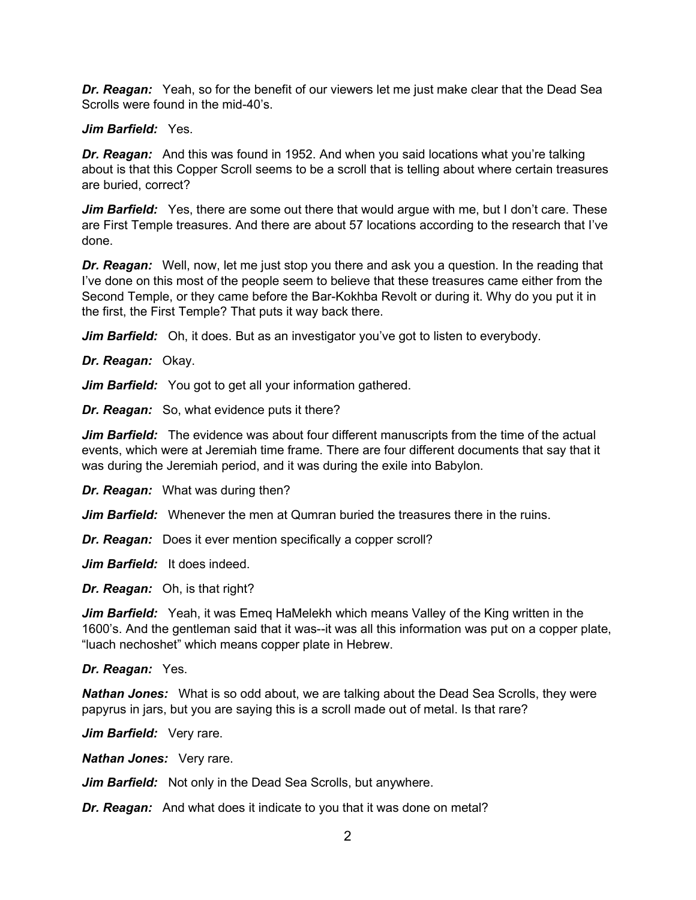*Dr. Reagan:* Yeah, so for the benefit of our viewers let me just make clear that the Dead Sea Scrolls were found in the mid-40's.

# *Jim Barfield:* Yes.

*Dr. Reagan:* And this was found in 1952. And when you said locations what you're talking about is that this Copper Scroll seems to be a scroll that is telling about where certain treasures are buried, correct?

*Jim Barfield:* Yes, there are some out there that would argue with me, but I don't care. These are First Temple treasures. And there are about 57 locations according to the research that I've done.

*Dr. Reagan:* Well, now, let me just stop you there and ask you a question. In the reading that I've done on this most of the people seem to believe that these treasures came either from the Second Temple, or they came before the Bar-Kokhba Revolt or during it. Why do you put it in the first, the First Temple? That puts it way back there.

*Jim Barfield:* Oh, it does. But as an investigator you've got to listen to everybody.

*Dr. Reagan:* Okay.

*Jim Barfield:* You got to get all your information gathered.

*Dr. Reagan:* So, what evidence puts it there?

*Jim Barfield:* The evidence was about four different manuscripts from the time of the actual events, which were at Jeremiah time frame. There are four different documents that say that it was during the Jeremiah period, and it was during the exile into Babylon.

*Dr. Reagan:* What was during then?

*Jim Barfield:* Whenever the men at Qumran buried the treasures there in the ruins.

*Dr. Reagan:* Does it ever mention specifically a copper scroll?

*Jim Barfield:* It does indeed.

*Dr. Reagan:* Oh, is that right?

*Jim Barfield:* Yeah, it was Emeq HaMelekh which means Valley of the King written in the 1600's. And the gentleman said that it was--it was all this information was put on a copper plate, "luach nechoshet" which means copper plate in Hebrew.

*Dr. Reagan:* Yes.

*Nathan Jones:* What is so odd about, we are talking about the Dead Sea Scrolls, they were papyrus in jars, but you are saying this is a scroll made out of metal. Is that rare?

*Jim Barfield:* Very rare.

*Nathan Jones:* Very rare.

*Jim Barfield:* Not only in the Dead Sea Scrolls, but anywhere.

*Dr. Reagan:* And what does it indicate to you that it was done on metal?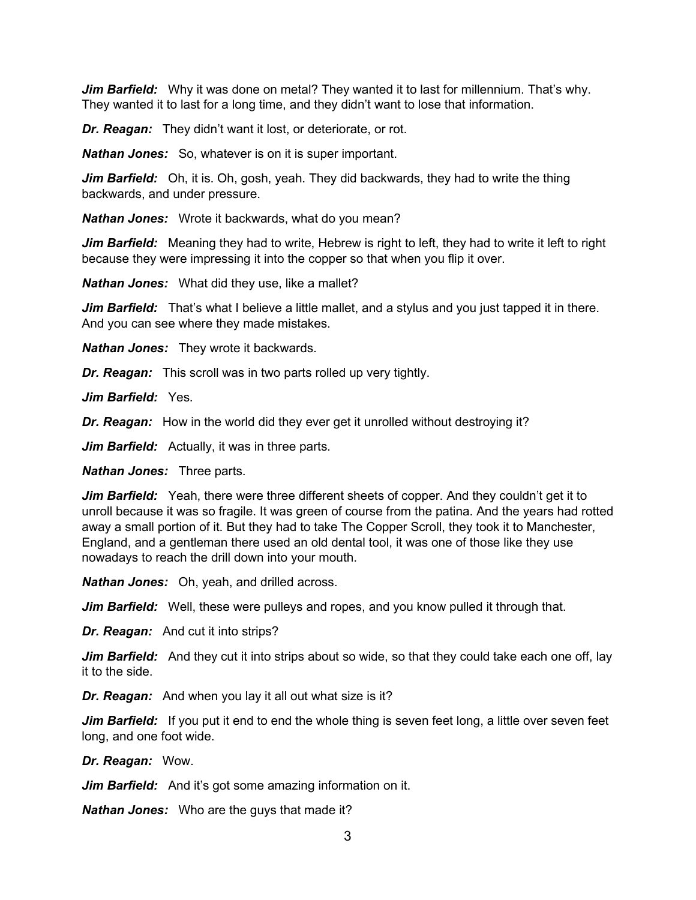*Jim Barfield:* Why it was done on metal? They wanted it to last for millennium. That's why. They wanted it to last for a long time, and they didn't want to lose that information.

*Dr. Reagan:* They didn't want it lost, or deteriorate, or rot.

*Nathan Jones:* So, whatever is on it is super important.

*Jim Barfield:* Oh, it is. Oh, gosh, yeah. They did backwards, they had to write the thing backwards, and under pressure.

*Nathan Jones:* Wrote it backwards, what do you mean?

*Jim Barfield:* Meaning they had to write, Hebrew is right to left, they had to write it left to right because they were impressing it into the copper so that when you flip it over.

*Nathan Jones:* What did they use, like a mallet?

*Jim Barfield:* That's what I believe a little mallet, and a stylus and you just tapped it in there. And you can see where they made mistakes.

*Nathan Jones:* They wrote it backwards.

*Dr. Reagan:* This scroll was in two parts rolled up very tightly.

*Jim Barfield:* Yes.

*Dr. Reagan:* How in the world did they ever get it unrolled without destroying it?

*Jim Barfield:* Actually, it was in three parts.

*Nathan Jones:* Three parts.

*Jim Barfield:* Yeah, there were three different sheets of copper. And they couldn't get it to unroll because it was so fragile. It was green of course from the patina. And the years had rotted away a small portion of it. But they had to take The Copper Scroll, they took it to Manchester, England, and a gentleman there used an old dental tool, it was one of those like they use nowadays to reach the drill down into your mouth.

*Nathan Jones:* Oh, yeah, and drilled across.

*Jim Barfield:* Well, these were pulleys and ropes, and you know pulled it through that.

*Dr. Reagan:* And cut it into strips?

Jim Barfield: And they cut it into strips about so wide, so that they could take each one off, lay it to the side.

*Dr. Reagan:* And when you lay it all out what size is it?

*Jim Barfield:* If you put it end to end the whole thing is seven feet long, a little over seven feet long, and one foot wide.

*Dr. Reagan:* Wow.

*Jim Barfield:* And it's got some amazing information on it.

*Nathan Jones:* Who are the guys that made it?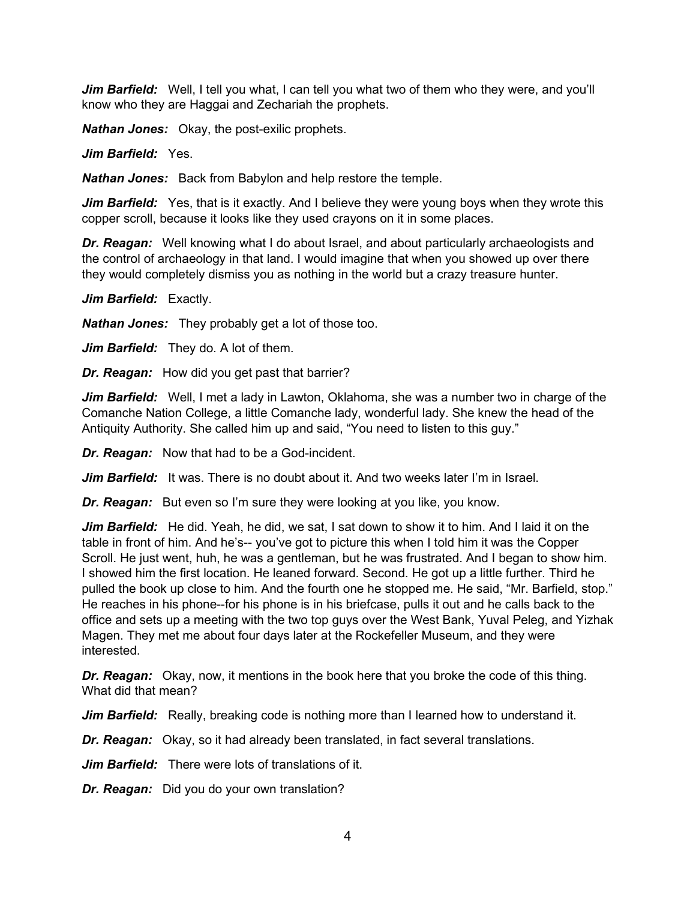*Jim Barfield:* Well, I tell you what, I can tell you what two of them who they were, and you'll know who they are Haggai and Zechariah the prophets.

*Nathan Jones:* Okay, the post-exilic prophets.

*Jim Barfield:* Yes.

*Nathan Jones:* Back from Babylon and help restore the temple.

*Jim Barfield:* Yes, that is it exactly. And I believe they were young boys when they wrote this copper scroll, because it looks like they used crayons on it in some places.

*Dr. Reagan:* Well knowing what I do about Israel, and about particularly archaeologists and the control of archaeology in that land. I would imagine that when you showed up over there they would completely dismiss you as nothing in the world but a crazy treasure hunter.

*Jim Barfield:* Exactly.

*Nathan Jones:* They probably get a lot of those too.

*Jim Barfield:* They do. A lot of them.

*Dr. Reagan:* How did you get past that barrier?

*Jim Barfield:* Well, I met a lady in Lawton, Oklahoma, she was a number two in charge of the Comanche Nation College, a little Comanche lady, wonderful lady. She knew the head of the Antiquity Authority. She called him up and said, "You need to listen to this guy."

*Dr. Reagan:* Now that had to be a God-incident.

*Jim Barfield:* It was. There is no doubt about it. And two weeks later I'm in Israel.

*Dr. Reagan:* But even so I'm sure they were looking at you like, you know.

*Jim Barfield:* He did. Yeah, he did, we sat, I sat down to show it to him. And I laid it on the table in front of him. And he's-- you've got to picture this when I told him it was the Copper Scroll. He just went, huh, he was a gentleman, but he was frustrated. And I began to show him. I showed him the first location. He leaned forward. Second. He got up a little further. Third he pulled the book up close to him. And the fourth one he stopped me. He said, "Mr. Barfield, stop." He reaches in his phone--for his phone is in his briefcase, pulls it out and he calls back to the office and sets up a meeting with the two top guys over the West Bank, Yuval Peleg, and Yizhak Magen. They met me about four days later at the Rockefeller Museum, and they were interested.

*Dr. Reagan:* Okay, now, it mentions in the book here that you broke the code of this thing. What did that mean?

*Jim Barfield:* Really, breaking code is nothing more than I learned how to understand it.

*Dr. Reagan:* Okay, so it had already been translated, in fact several translations.

*Jim Barfield:* There were lots of translations of it.

*Dr. Reagan:* Did you do your own translation?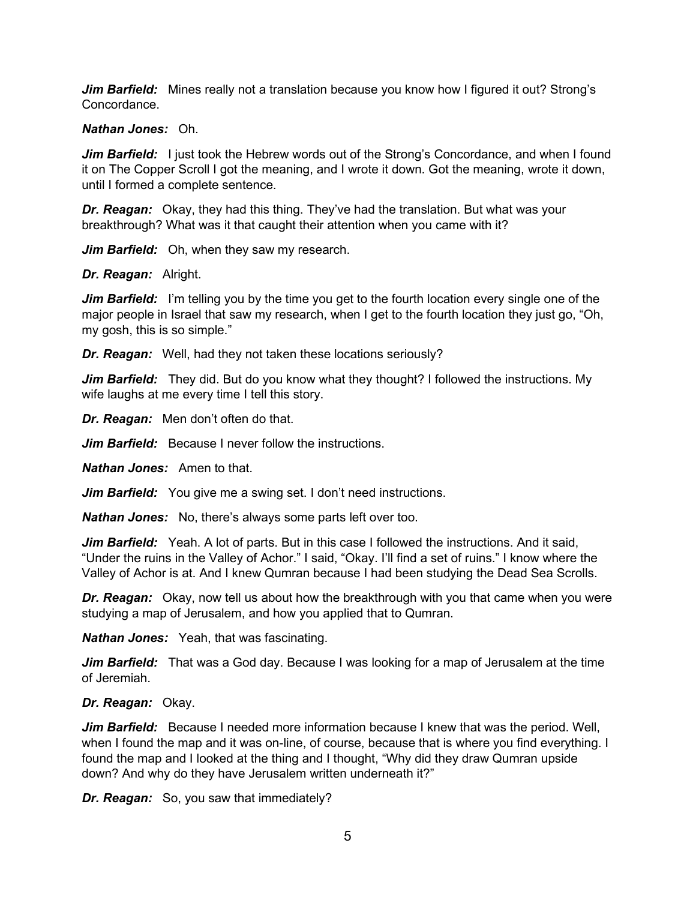*Jim Barfield:* Mines really not a translation because you know how I figured it out? Strong's Concordance.

## *Nathan Jones:* Oh.

*Jim Barfield:* I just took the Hebrew words out of the Strong's Concordance, and when I found it on The Copper Scroll I got the meaning, and I wrote it down. Got the meaning, wrote it down, until I formed a complete sentence.

*Dr. Reagan:* Okay, they had this thing. They've had the translation. But what was your breakthrough? What was it that caught their attention when you came with it?

*Jim Barfield:* Oh, when they saw my research.

#### *Dr. Reagan:* Alright.

*Jim Barfield:* I'm telling you by the time you get to the fourth location every single one of the major people in Israel that saw my research, when I get to the fourth location they just go, "Oh, my gosh, this is so simple."

*Dr. Reagan:* Well, had they not taken these locations seriously?

**Jim Barfield:** They did. But do you know what they thought? I followed the instructions. My wife laughs at me every time I tell this story.

*Dr. Reagan:* Men don't often do that.

*Jim Barfield:* Because I never follow the instructions.

*Nathan Jones:* Amen to that.

*Jim Barfield:* You give me a swing set. I don't need instructions.

*Nathan Jones:* No, there's always some parts left over too.

*Jim Barfield:* Yeah. A lot of parts. But in this case I followed the instructions. And it said, "Under the ruins in the Valley of Achor." I said, "Okay. I'll find a set of ruins." I know where the Valley of Achor is at. And I knew Qumran because I had been studying the Dead Sea Scrolls.

*Dr. Reagan:* Okay, now tell us about how the breakthrough with you that came when you were studying a map of Jerusalem, and how you applied that to Qumran.

*Nathan Jones:* Yeah, that was fascinating.

*Jim Barfield:* That was a God day. Because I was looking for a map of Jerusalem at the time of Jeremiah.

# *Dr. Reagan:* Okay.

*Jim Barfield:* Because I needed more information because I knew that was the period. Well, when I found the map and it was on-line, of course, because that is where you find everything. I found the map and I looked at the thing and I thought, "Why did they draw Qumran upside down? And why do they have Jerusalem written underneath it?"

*Dr. Reagan:* So, you saw that immediately?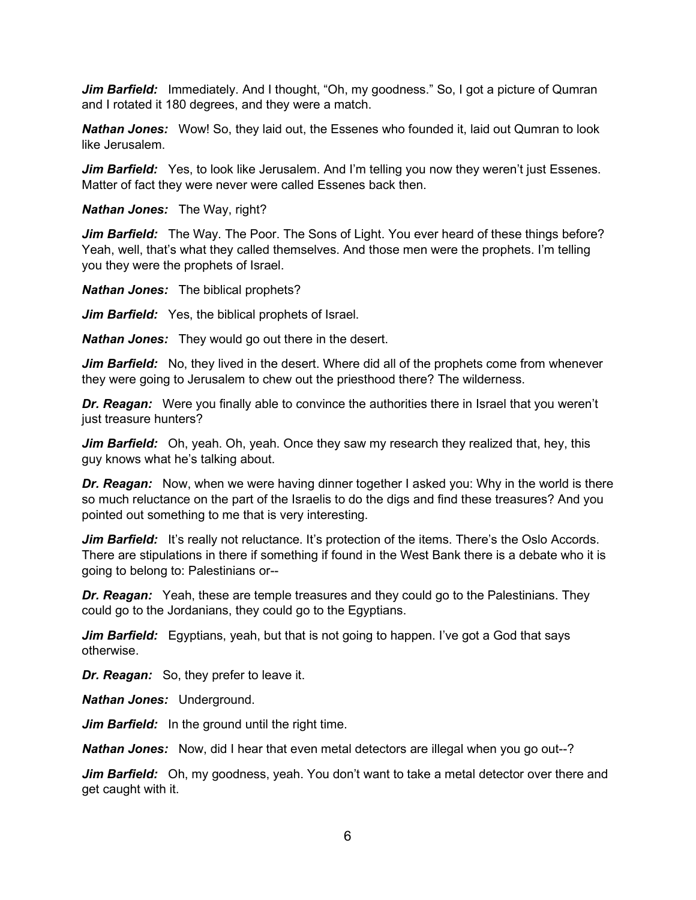*Jim Barfield:* Immediately. And I thought, "Oh, my goodness." So, I got a picture of Qumran and I rotated it 180 degrees, and they were a match.

*Nathan Jones:* Wow! So, they laid out, the Essenes who founded it, laid out Qumran to look like Jerusalem.

*Jim Barfield:* Yes, to look like Jerusalem. And I'm telling you now they weren't just Essenes. Matter of fact they were never were called Essenes back then.

*Nathan Jones:* The Way, right?

*Jim Barfield:* The Way. The Poor. The Sons of Light. You ever heard of these things before? Yeah, well, that's what they called themselves. And those men were the prophets. I'm telling you they were the prophets of Israel.

*Nathan Jones:* The biblical prophets?

*Jim Barfield:* Yes, the biblical prophets of Israel.

*Nathan Jones:* They would go out there in the desert.

*Jim Barfield:* No, they lived in the desert. Where did all of the prophets come from whenever they were going to Jerusalem to chew out the priesthood there? The wilderness.

**Dr. Reagan:** Were you finally able to convince the authorities there in Israel that you weren't just treasure hunters?

*Jim Barfield:* Oh, yeah. Oh, yeah. Once they saw my research they realized that, hey, this guy knows what he's talking about.

*Dr. Reagan:* Now, when we were having dinner together I asked you: Why in the world is there so much reluctance on the part of the Israelis to do the digs and find these treasures? And you pointed out something to me that is very interesting.

Jim Barfield: It's really not reluctance. It's protection of the items. There's the Oslo Accords. There are stipulations in there if something if found in the West Bank there is a debate who it is going to belong to: Palestinians or--

*Dr. Reagan:* Yeah, these are temple treasures and they could go to the Palestinians. They could go to the Jordanians, they could go to the Egyptians.

*Jim Barfield:* Egyptians, yeah, but that is not going to happen. I've got a God that says otherwise.

*Dr. Reagan:* So, they prefer to leave it.

*Nathan Jones:* Underground.

*Jim Barfield:* In the ground until the right time.

*Nathan Jones:* Now, did I hear that even metal detectors are illegal when you go out--?

*Jim Barfield:* Oh, my goodness, yeah. You don't want to take a metal detector over there and get caught with it.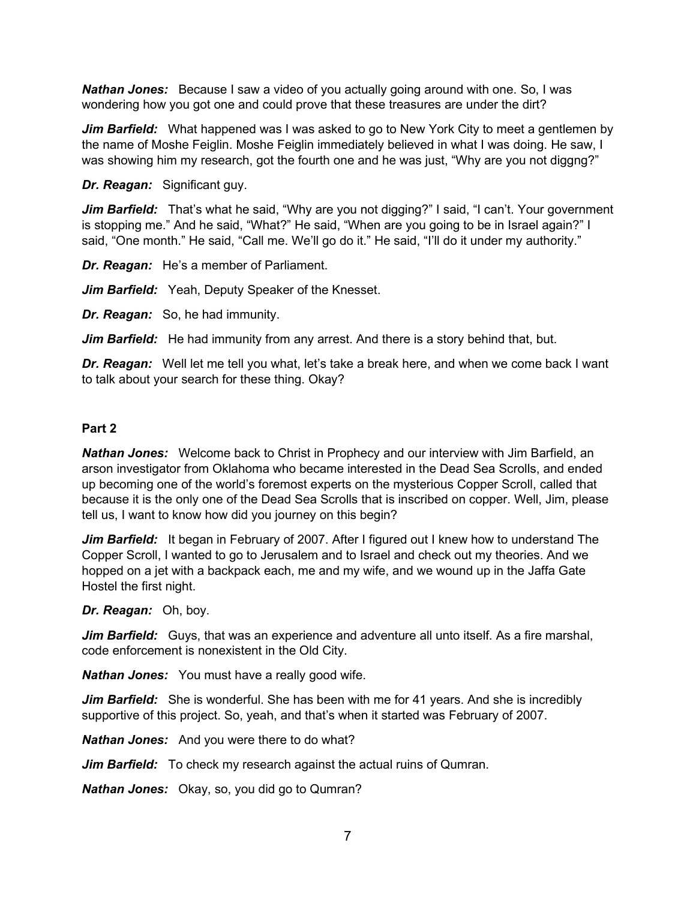*Nathan Jones:* Because I saw a video of you actually going around with one. So, I was wondering how you got one and could prove that these treasures are under the dirt?

*Jim Barfield:* What happened was I was asked to go to New York City to meet a gentlemen by the name of Moshe Feiglin. Moshe Feiglin immediately believed in what I was doing. He saw, I was showing him my research, got the fourth one and he was just, "Why are you not diggng?"

*Dr. Reagan:* Significant guy.

Jim Barfield: That's what he said, "Why are you not digging?" I said, "I can't. Your government is stopping me." And he said, "What?" He said, "When are you going to be in Israel again?" I said, "One month." He said, "Call me. We'll go do it." He said, "I'll do it under my authority."

*Dr. Reagan:* He's a member of Parliament.

*Jim Barfield:* Yeah, Deputy Speaker of the Knesset.

*Dr. Reagan:* So, he had immunity.

*Jim Barfield:* He had immunity from any arrest. And there is a story behind that, but.

*Dr. Reagan:* Well let me tell you what, let's take a break here, and when we come back I want to talk about your search for these thing. Okay?

# **Part 2**

*Nathan Jones:* Welcome back to Christ in Prophecy and our interview with Jim Barfield, an arson investigator from Oklahoma who became interested in the Dead Sea Scrolls, and ended up becoming one of the world's foremost experts on the mysterious Copper Scroll, called that because it is the only one of the Dead Sea Scrolls that is inscribed on copper. Well, Jim, please tell us, I want to know how did you journey on this begin?

*Jim Barfield:* It began in February of 2007. After I figured out I knew how to understand The Copper Scroll, I wanted to go to Jerusalem and to Israel and check out my theories. And we hopped on a jet with a backpack each, me and my wife, and we wound up in the Jaffa Gate Hostel the first night.

*Dr. Reagan:* Oh, boy.

*Jim Barfield:* Guys, that was an experience and adventure all unto itself. As a fire marshal, code enforcement is nonexistent in the Old City.

*Nathan Jones:* You must have a really good wife.

*Jim Barfield:* She is wonderful. She has been with me for 41 years. And she is incredibly supportive of this project. So, yeah, and that's when it started was February of 2007.

*Nathan Jones:* And you were there to do what?

*Jim Barfield:* To check my research against the actual ruins of Qumran.

*Nathan Jones:* Okay, so, you did go to Qumran?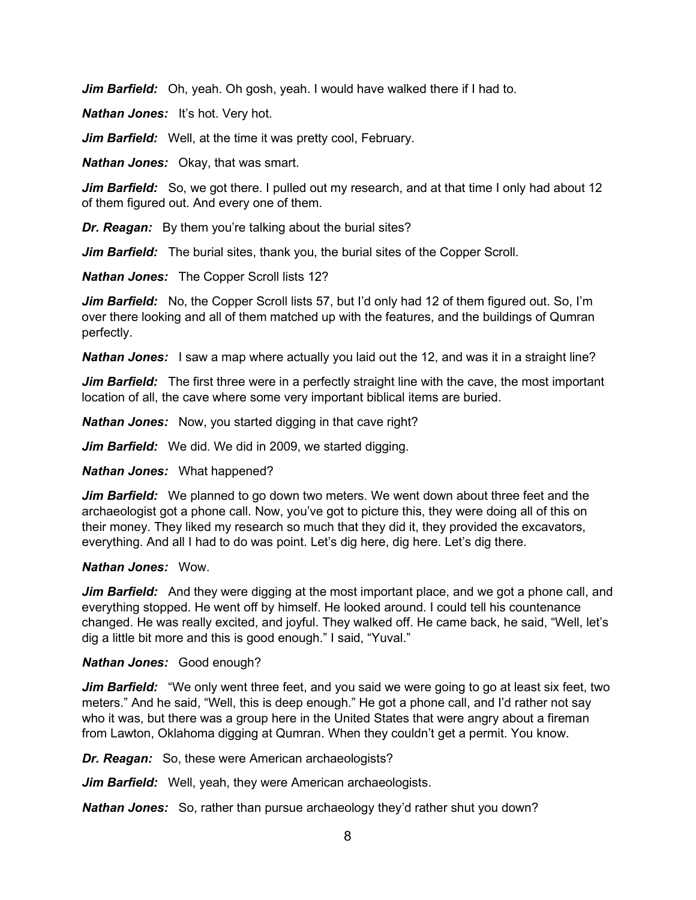*Jim Barfield:* Oh, yeah. Oh gosh, yeah. I would have walked there if I had to.

*Nathan Jones:* It's hot. Very hot.

*Jim Barfield:* Well, at the time it was pretty cool, February.

*Nathan Jones:* Okay, that was smart.

**Jim Barfield:** So, we got there. I pulled out my research, and at that time I only had about 12 of them figured out. And every one of them.

*Dr. Reagan:* By them you're talking about the burial sites?

*Jim Barfield:* The burial sites, thank you, the burial sites of the Copper Scroll.

*Nathan Jones:* The Copper Scroll lists 12?

*Jim Barfield:* No, the Copper Scroll lists 57, but I'd only had 12 of them figured out. So, I'm over there looking and all of them matched up with the features, and the buildings of Qumran perfectly.

**Nathan Jones:** I saw a map where actually you laid out the 12, and was it in a straight line?

*Jim Barfield:* The first three were in a perfectly straight line with the cave, the most important location of all, the cave where some very important biblical items are buried.

*Nathan Jones:* Now, you started digging in that cave right?

*Jim Barfield:* We did. We did in 2009, we started digging.

*Nathan Jones:* What happened?

*Jim Barfield:* We planned to go down two meters. We went down about three feet and the archaeologist got a phone call. Now, you've got to picture this, they were doing all of this on their money. They liked my research so much that they did it, they provided the excavators, everything. And all I had to do was point. Let's dig here, dig here. Let's dig there.

## *Nathan Jones:* Wow.

*Jim Barfield:* And they were digging at the most important place, and we got a phone call, and everything stopped. He went off by himself. He looked around. I could tell his countenance changed. He was really excited, and joyful. They walked off. He came back, he said, "Well, let's dig a little bit more and this is good enough." I said, "Yuval."

## *Nathan Jones:* Good enough?

*Jim Barfield:* "We only went three feet, and you said we were going to go at least six feet, two meters." And he said, "Well, this is deep enough." He got a phone call, and I'd rather not say who it was, but there was a group here in the United States that were angry about a fireman from Lawton, Oklahoma digging at Qumran. When they couldn't get a permit. You know.

*Dr. Reagan:* So, these were American archaeologists?

*Jim Barfield:* Well, yeah, they were American archaeologists.

*Nathan Jones:* So, rather than pursue archaeology they'd rather shut you down?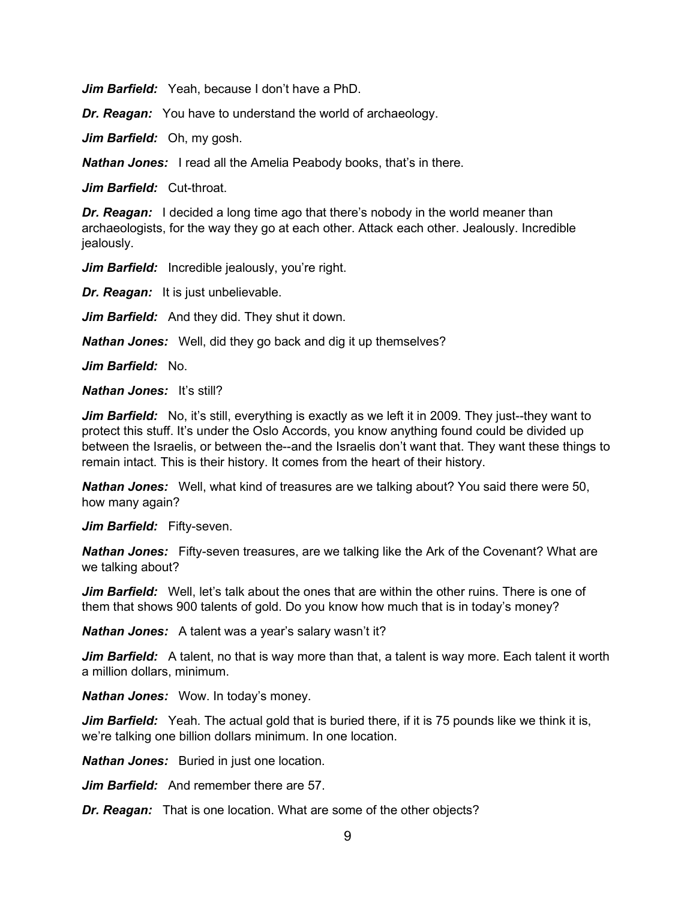*Jim Barfield:* Yeah, because I don't have a PhD.

*Dr. Reagan:* You have to understand the world of archaeology.

*Jim Barfield:* Oh, my gosh.

*Nathan Jones:* I read all the Amelia Peabody books, that's in there.

*Jim Barfield:* Cut-throat.

*Dr. Reagan:* I decided a long time ago that there's nobody in the world meaner than archaeologists, for the way they go at each other. Attack each other. Jealously. Incredible jealously.

*Jim Barfield:* Incredible jealously, you're right.

*Dr. Reagan:* It is just unbelievable.

*Jim Barfield:* And they did. They shut it down.

*Nathan Jones:* Well, did they go back and dig it up themselves?

*Jim Barfield:* No.

*Nathan Jones:* It's still?

*Jim Barfield:* No, it's still, everything is exactly as we left it in 2009. They just--they want to protect this stuff. It's under the Oslo Accords, you know anything found could be divided up between the Israelis, or between the--and the Israelis don't want that. They want these things to remain intact. This is their history. It comes from the heart of their history.

*Nathan Jones:* Well, what kind of treasures are we talking about? You said there were 50, how many again?

Jim Barfield: Fifty-seven.

*Nathan Jones:* Fifty-seven treasures, are we talking like the Ark of the Covenant? What are we talking about?

*Jim Barfield:* Well, let's talk about the ones that are within the other ruins. There is one of them that shows 900 talents of gold. Do you know how much that is in today's money?

*Nathan Jones:* A talent was a year's salary wasn't it?

*Jim Barfield:* A talent, no that is way more than that, a talent is way more. Each talent it worth a million dollars, minimum.

*Nathan Jones:* Wow. In today's money.

*Jim Barfield:* Yeah. The actual gold that is buried there, if it is 75 pounds like we think it is, we're talking one billion dollars minimum. In one location.

*Nathan Jones:* Buried in just one location.

*Jim Barfield:* And remember there are 57.

*Dr. Reagan:* That is one location. What are some of the other objects?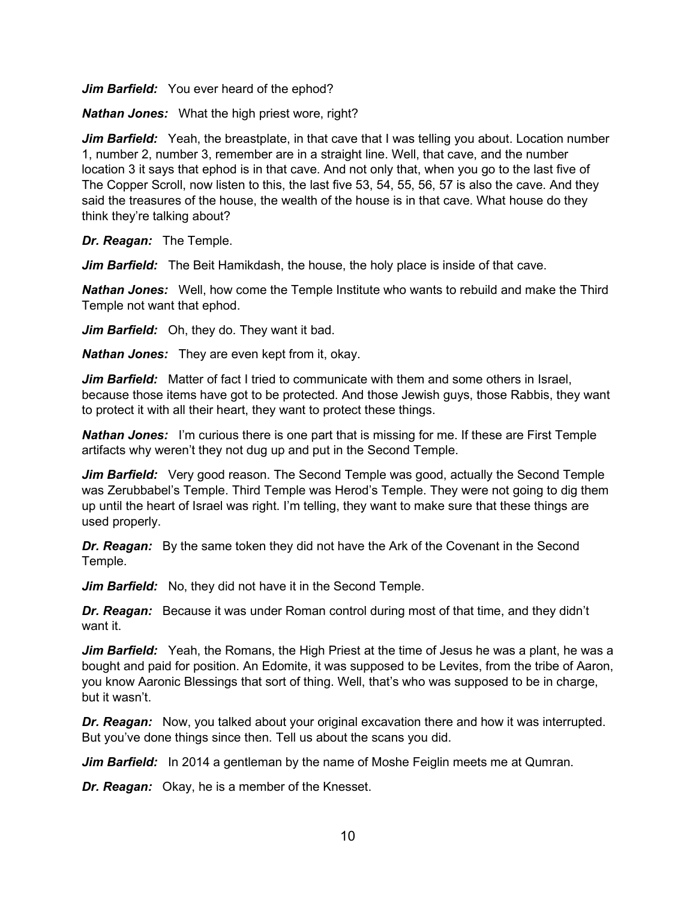*Jim Barfield:* You ever heard of the ephod?

*Nathan Jones:* What the high priest wore, right?

*Jim Barfield:* Yeah, the breastplate, in that cave that I was telling you about. Location number 1, number 2, number 3, remember are in a straight line. Well, that cave, and the number location 3 it says that ephod is in that cave. And not only that, when you go to the last five of The Copper Scroll, now listen to this, the last five 53, 54, 55, 56, 57 is also the cave. And they said the treasures of the house, the wealth of the house is in that cave. What house do they think they're talking about?

*Dr. Reagan:* The Temple.

*Jim Barfield:* The Beit Hamikdash, the house, the holy place is inside of that cave.

*Nathan Jones:* Well, how come the Temple Institute who wants to rebuild and make the Third Temple not want that ephod.

*Jim Barfield:* Oh, they do. They want it bad.

*Nathan Jones:* They are even kept from it, okay.

*Jim Barfield:* Matter of fact I tried to communicate with them and some others in Israel, because those items have got to be protected. And those Jewish guys, those Rabbis, they want to protect it with all their heart, they want to protect these things.

*Nathan Jones:* I'm curious there is one part that is missing for me. If these are First Temple artifacts why weren't they not dug up and put in the Second Temple.

**Jim Barfield:** Very good reason. The Second Temple was good, actually the Second Temple was Zerubbabel's Temple. Third Temple was Herod's Temple. They were not going to dig them up until the heart of Israel was right. I'm telling, they want to make sure that these things are used properly.

*Dr. Reagan:* By the same token they did not have the Ark of the Covenant in the Second Temple.

*Jim Barfield:* No, they did not have it in the Second Temple.

*Dr. Reagan:* Because it was under Roman control during most of that time, and they didn't want it.

*Jim Barfield:* Yeah, the Romans, the High Priest at the time of Jesus he was a plant, he was a bought and paid for position. An Edomite, it was supposed to be Levites, from the tribe of Aaron, you know Aaronic Blessings that sort of thing. Well, that's who was supposed to be in charge, but it wasn't.

*Dr. Reagan:* Now, you talked about your original excavation there and how it was interrupted. But you've done things since then. Tell us about the scans you did.

*Jim Barfield:* In 2014 a gentleman by the name of Moshe Feiglin meets me at Qumran.

*Dr. Reagan:* Okay, he is a member of the Knesset.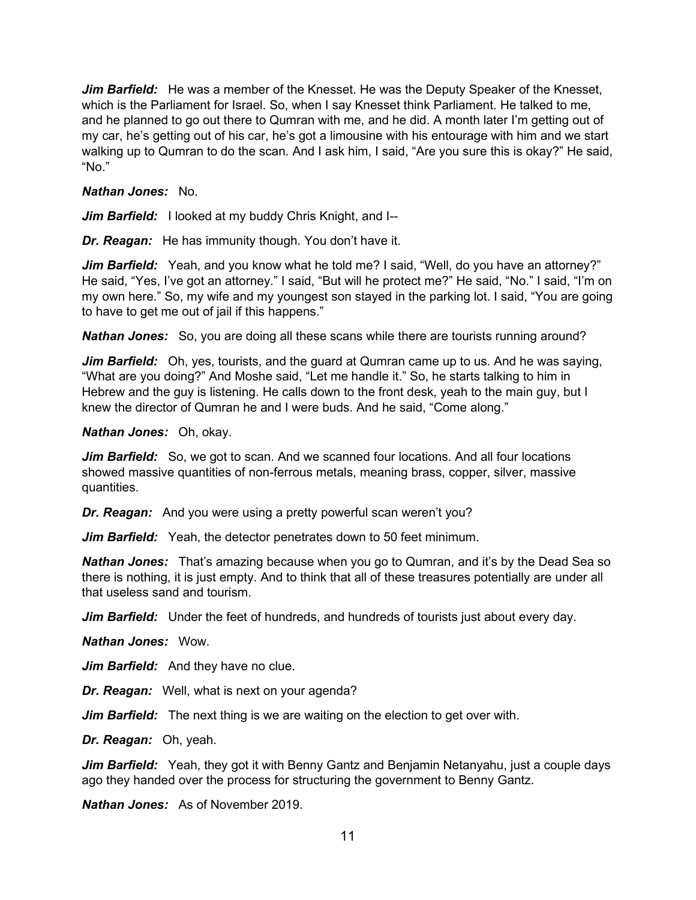*Jim Barfield:* He was a member of the Knesset. He was the Deputy Speaker of the Knesset, which is the Parliament for Israel. So, when I say Knesset think Parliament. He talked to me, and he planned to go out there to Qumran with me, and he did. A month later I'm getting out of my car, he's getting out of his car, he's got a limousine with his entourage with him and we start walking up to Qumran to do the scan. And I ask him, I said, "Are you sure this is okay?" He said, "No."

#### *Nathan Jones:* No.

*Jim Barfield:* I looked at my buddy Chris Knight, and I--

*Dr. Reagan:* He has immunity though. You don't have it.

**Jim Barfield:** Yeah, and you know what he told me? I said, "Well, do you have an attorney?" He said, "Yes, I've got an attorney." I said, "But will he protect me?" He said, "No." I said, "I'm on my own here." So, my wife and my youngest son stayed in the parking lot. I said, "You are going to have to get me out of jail if this happens."

*Nathan Jones:* So, you are doing all these scans while there are tourists running around?

*Jim Barfield:* Oh, yes, tourists, and the guard at Qumran came up to us. And he was saying, "What are you doing?" And Moshe said, "Let me handle it." So, he starts talking to him in Hebrew and the guy is listening. He calls down to the front desk, yeah to the main guy, but I knew the director of Qumran he and I were buds. And he said, "Come along."

#### *Nathan Jones:* Oh, okay.

*Jim Barfield:* So, we got to scan. And we scanned four locations. And all four locations showed massive quantities of non-ferrous metals, meaning brass, copper, silver, massive quantities.

*Dr. Reagan:* And you were using a pretty powerful scan weren't you?

*Jim Barfield:* Yeah, the detector penetrates down to 50 feet minimum.

*Nathan Jones:* That's amazing because when you go to Qumran, and it's by the Dead Sea so there is nothing, it is just empty. And to think that all of these treasures potentially are under all that useless sand and tourism.

*Jim Barfield:* Under the feet of hundreds, and hundreds of tourists just about every day.

*Nathan Jones:* Wow.

*Jim Barfield:* And they have no clue.

*Dr. Reagan:* Well, what is next on your agenda?

*Jim Barfield:* The next thing is we are waiting on the election to get over with.

*Dr. Reagan:* Oh, yeah.

*Jim Barfield:* Yeah, they got it with Benny Gantz and Benjamin Netanyahu, just a couple days ago they handed over the process for structuring the government to Benny Gantz.

*Nathan Jones:* As of November 2019.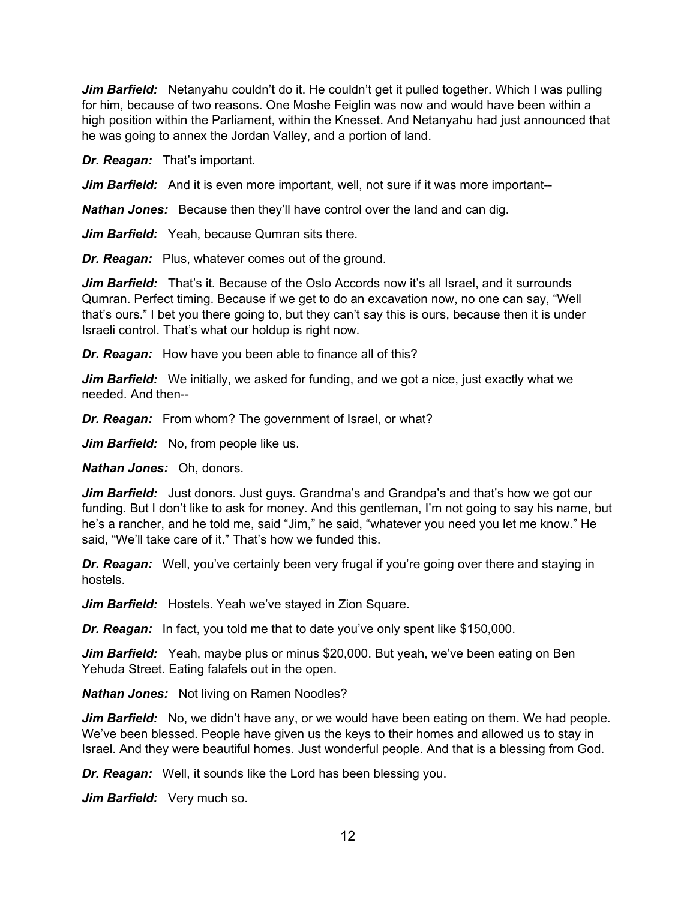*Jim Barfield:* Netanyahu couldn't do it. He couldn't get it pulled together. Which I was pulling for him, because of two reasons. One Moshe Feiglin was now and would have been within a high position within the Parliament, within the Knesset. And Netanyahu had just announced that he was going to annex the Jordan Valley, and a portion of land.

*Dr. Reagan:* That's important.

*Jim Barfield:* And it is even more important, well, not sure if it was more important--

*Nathan Jones:* Because then they'll have control over the land and can dig.

*Jim Barfield:* Yeah, because Qumran sits there.

*Dr. Reagan:* Plus, whatever comes out of the ground.

*Jim Barfield:* That's it. Because of the Oslo Accords now it's all Israel, and it surrounds Qumran. Perfect timing. Because if we get to do an excavation now, no one can say, "Well that's ours." I bet you there going to, but they can't say this is ours, because then it is under Israeli control. That's what our holdup is right now.

*Dr. Reagan:* How have you been able to finance all of this?

*Jim Barfield:* We initially, we asked for funding, and we got a nice, just exactly what we needed. And then--

*Dr. Reagan:* From whom? The government of Israel, or what?

*Jim Barfield:* No, from people like us.

*Nathan Jones:* Oh, donors.

**Jim Barfield:** Just donors. Just guys. Grandma's and Grandpa's and that's how we got our funding. But I don't like to ask for money. And this gentleman, I'm not going to say his name, but he's a rancher, and he told me, said "Jim," he said, "whatever you need you let me know." He said, "We'll take care of it." That's how we funded this.

*Dr. Reagan:* Well, you've certainly been very frugal if you're going over there and staying in hostels.

*Jim Barfield:* Hostels. Yeah we've stayed in Zion Square.

*Dr. Reagan:* In fact, you told me that to date you've only spent like \$150,000.

*Jim Barfield:* Yeah, maybe plus or minus \$20,000. But yeah, we've been eating on Ben Yehuda Street. Eating falafels out in the open.

*Nathan Jones:* Not living on Ramen Noodles?

*Jim Barfield:* No, we didn't have any, or we would have been eating on them. We had people. We've been blessed. People have given us the keys to their homes and allowed us to stay in Israel. And they were beautiful homes. Just wonderful people. And that is a blessing from God.

*Dr. Reagan:* Well, it sounds like the Lord has been blessing you.

*Jim Barfield:* Very much so.